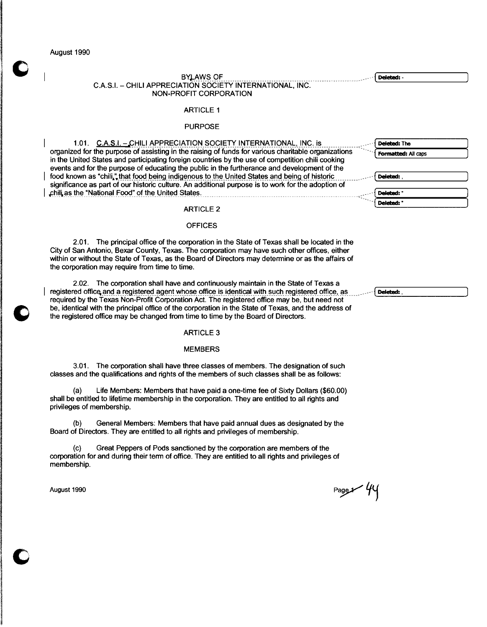August 1990

| <b>BYLAWS OF</b>                                                                                                                                                                                                                                                                                                                                        | Deleted: -          |
|---------------------------------------------------------------------------------------------------------------------------------------------------------------------------------------------------------------------------------------------------------------------------------------------------------------------------------------------------------|---------------------|
| C.A.S.I. - CHILI APPRECIATION SOCIETY INTERNATIONAL, INC.<br>NON-PROFIT CORPORATION                                                                                                                                                                                                                                                                     |                     |
| <b>ARTICLE 1</b>                                                                                                                                                                                                                                                                                                                                        |                     |
| <b>PURPOSE</b>                                                                                                                                                                                                                                                                                                                                          |                     |
| 1.01. C.A.S.I. - CHILI APPRECIATION SOCIETY INTERNATIONAL, INC. is                                                                                                                                                                                                                                                                                      | Deleted: The        |
| organized for the purpose of assisting in the raising of funds for various charitable organizations<br>in the United States and participating foreign countries by the use of competition chili cooking                                                                                                                                                 | Formatted: All caps |
| events and for the purpose of educating the public in the furtherance and development of the<br>food known as "chili,", that food being indigenous to the United States and being of historic                                                                                                                                                           | Deleted:            |
| significance as part of our historic culture. An additional purpose is to work for the adoption of                                                                                                                                                                                                                                                      |                     |
| chili as the "National Food" of the United States.                                                                                                                                                                                                                                                                                                      | Deleted: "          |
| <b>ARTICLE 2</b>                                                                                                                                                                                                                                                                                                                                        | Deleted:            |
| <b>OFFICES</b>                                                                                                                                                                                                                                                                                                                                          |                     |
| The principal office of the corporation in the State of Texas shall be located in the<br>2.01.<br>City of San Antonio, Bexar County, Texas. The corporation may have such other offices, either<br>within or without the State of Texas, as the Board of Directors may determine or as the affairs of<br>the corporation may require from time to time. |                     |

2.02. The corporation shall have and continuously maintain in the State of Texas a registered office and a registered agent whose office is identical with such registered office, as **Deleted:**  $\sqrt{$ required by the Texas Non-Profit Corporation Act. The registered office may be, but need not be, identical with the principal office of the corporation in the State of Texas, and the address of the registered office may be changed from time to time by the Board of Directors.

# ARTICLE 3

## MEMBERS

3.01. The corporation shall have three classes of members. The designation of such classes and the qualifications and rights of the members of such classes shall be as follows:

(a) Life Members: Members that have paid a one-time fee of Sixty Dollars (\$60.00) shall be entitled to lifetime membership in the corporation. They are entitled to all rights and privileges of membership.

(b) General Members: Members that have paid annual dues as designated by the Board of Directors. They are entitled to all rights and privileges of membership.

(c) Great Peppers of Pods sanctioned by the corporation are members of the corporation for and during their term of office. They are entitled to all rights and privileges of membership.

August 1990

 $Page 44$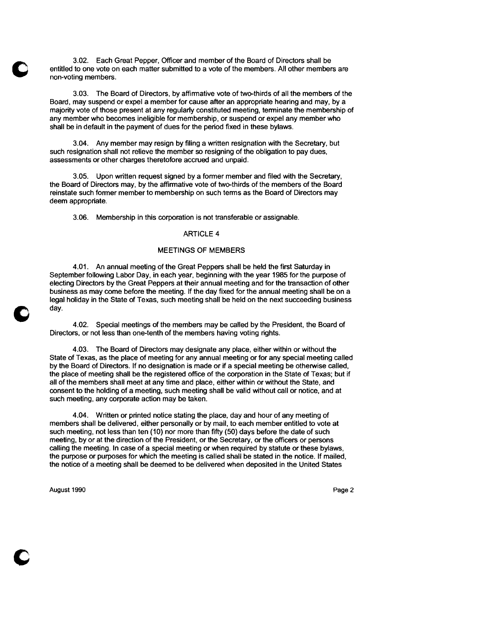3.02. Each Great Pepper, Officer and member of the Board of Directors shall be entitled to one vote on each matter submitted to a vote of the members. All other members are non-voting members.

3.03. The Board of Directors, by affirmative vote of two-thirds of all the members of the Board, may suspend or expel a member for cause after an appropriate hearing and may, by a majority vote of those present at any regularly constituted meeting, terminate the membership of any member who becomes ineligible for membership, or suspend or expel any member who shall be in default in the payment of dues for the period fixed in these bylaws.

3.04. Any member may resign by filing a written resignation with the Secretary, but such resignation shall not relieve the member so resigning of the obligation to pay dues, assessments or other charges theretofore accrued and unpaid.

3.05. Upon written request signed by a former member and filed with the Secretary, the Board of Directors may, by the affirmative vote of two-thirds of the members of the Board reinstate such former member to membership on such terms as the Board of Directors may deem appropriate.

3.06. Membership in this corporation is not transferable or assignable.

#### ARTICLE 4

## MEETINGS OF MEMBERS

4.01. An annual meeting of the Great Peppers shall be held the first Saturday in September following Labor Day, in each year, beginning with the year 1985 for the purpose of electing Directors by the Great Peppers at their annual meeting and for the transaction of other business as may come before the meeting. If the day fixed for the annual meeting shall be on a legal holiday in the State of Texas, such meeting shall be held on the next succeeding business day.

4.02. Special meetings of the members may be called by the President, the Board of Directors, or not less than one-tenth of the members having voting rights.

4.03. The Board of Directors may designate any place, either within or without the State of Texas, as the place of meeting for any annual meeting or for any special meeting called by the Board of Directors. If no designation is made or if a special meeting be otherwise called, the place of meeting shall be the registered office of the corporation in the State of Texas; but if all of the members shall meet at any time and place, either within or without the State, and consent to the holding of a meeting, such meeting shall be valid without call or notice, and at such meeting, any corporate action may be taken.

4.04. Written or printed notice stating the place, day and hour of any meeting of members shall be delivered, either personally or by mail, to each member entitled to vote at such meeting, not less than ten (10) nor more than fifty (50) days before the date of such meeting, by or at the direction of the President, or the Secretary, or the officers or persons calling the meeting. In case of a special meeting or when required by statute or these bylaws, the purpose or purposes for which the meeting is called shall be stated in the notice. If mailed, the notice of a meeting shall be deemed to be delivered when deposited in the United States

Augus11990 Page 2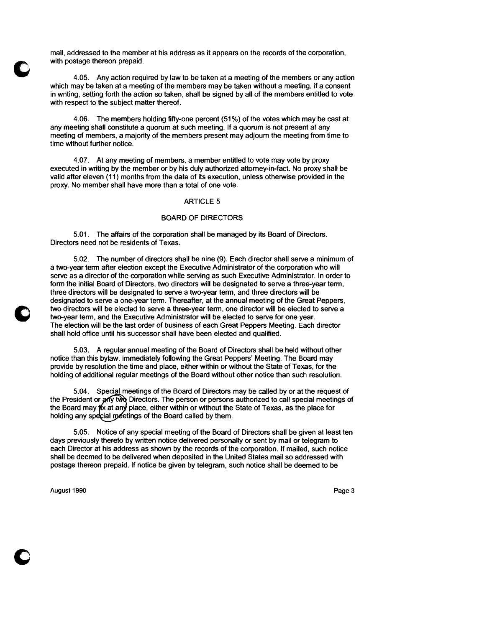mail, addressed to the member at his address as it appears on the records of the corporation, with postage thereon prepaid.

4.05. Any action required by law to be taken at a meeting of the members or any action which may be taken at a meeting of the members may be taken without a meeting, if a consent in writing, setting forth the action so taken, shall be signed by all of the members entitled to vote with respect to the subject matter thereof.

4.06. The members holding fifty-one percent (51 %) of the votes which may be cast at any meeting shall constitute a quorum at such meeting. If a quorum is not present at any meeting of members, a majority of the members present may adjoum the meeting from time to time without further notice.

4.07. At any meeting of members, a member entitled to vote may vote by proxy executed in writing by the member or by his duly authorized attomey-in-fact. No proxy shall be valid after eleven (11) months from the date of its execution, unless otherwise provided in the proxy. No member shall have more than a total of one vote.

## ARTICLE 5

## BOARD OF DIRECTORS

5.01. The affairs of the corporation shall be managed by its Board of Directors. Directors need not be residents of Texas.

5.02. The number of directors shall be nine (9). Each director shall serve a minimum of a two-year term after election except the Executive Administrator of the corporation who will serve as a director of the corporation while serving as such Executive Administrator. In order to form the initial Board of Directors, two directors will be designated to serve a three-year term, three directors will be designated to serve a two-year term, and three directors will be designated to serve a one-year term. Thereafter, at the annual meeting of the Great Peppers, two directors will be elected to serve a three-year term, one director will be elected to serve a two-year term, and the Executive Administrator will be elected to serve for one year. The election will be the last order of business of each Great Peppers Meeting. Each director shall hold office until his successor shall have been elected and qualified.

5.03. A regular annual meeting of the Board of Directors shall be held without other notice than this bylaw, immediately following the Great Peppers' Meeting. The Board may provide by resolution the time and place, either within or without the State of Texas, for the holding of additional regular meetings of the Board without other notice than such resolution.

5.04. Special meetings of the Board of Directors may be called by or at the request of the President or any two Directors. The person or persons authorized to call special meetings of the Board may fix at any place, either within or without the State of Texas, as the place for holding any special meetings of the Board called by them.

5.05. Notice of any special meeting of the Board of Directors shall be given at least ten days previously thereto by written notice delivered personally or sent by mail or telegram to each Director at his address as shown by the records of the corporation. If mailed, such notice shall be deemed to be delivered when deposited in the United States mail so addressed with postage thereon prepaid. If notice be given by telegram, such notice shall be deemed to be

August 1990 Page 3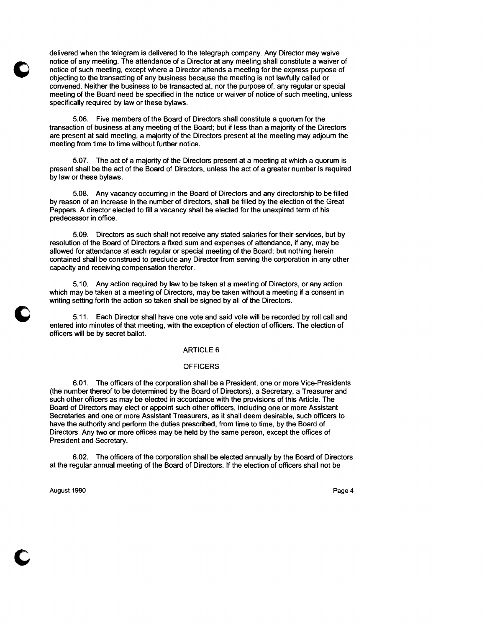delivered when the telegram is delivered to the telegraph company. Any Director may waive notice of any meeting. The attendance of a Director at any meeting shall constitute a waiver of notice of such meeting, except where a Director attends a meeting for the express purpose of objecting to the transacting of any business because the meeting is not lawfully called or convened. Neither the business to be transacted at, nor the purpose of, any regular or special meeting of the Board need be specified in the notice or waiver of notice of such meeting, unless specifically required by law or these bylaws.

5.06. Five members of the Board of Directors shall constitute a quorum for the transaction of business at any meeting of the Board; but if less than a majority of the Directors are present at said meeting, a majority of the Directors present at the meeting may adjoum the meeting from time to time without further notice.

5.07. The act of a majority of the Directors present at a meeting at which a quorum is present shall be the act of the Board of Directors, unless the act of a greater number is required by law or these bylaws.

5.08. Any vacancy occurring in the Board of Directors and any directorship to be filled by reason of an increase in the number of directors, shall be filled by the election of the Great Peppers. A director elected to fill a vacancy shall be elected for the unexpired term of his predecessor in office.

5.09. Directors as such shall not receive any stated salaries for their services, but by resolution of the Board of Directors a fixed sum and expenses of attendance, if any, may be allowed for attendance at each regular or special meeting of the Board; but nothing herein contained shall be construed to preclude any Director from serving the corporation in any other capacity and receiving compensation therefor.

5.10. Any action required by law to be taken at a meeting of Directors, or any action which may be taken at a meeting of Directors, may be taken without a meeting if a consent in writing setting forth the action so taken shall be signed by all of the Directors.

5.11. Each Director shall have one vote and said vote will be recorded by roll call and entered into minutes of that meeting, with the exception of election of officers. The election of officers will be by secret ballot.

## ARTICLE 6

#### **OFFICERS**

6.01. The officers of the corporation shall be a President, one or more Vice-Presidents (the number thereof to be determined by the Board of Directors), a Secretary, a Treasurer and such other officers as may be elected in accordance with the provisions of this Article. The Board of Directors may elect or appoint such other officers, including one or more Assistant Secretaries and one or more Assistant Treasurers, as it shall deem desirable, such officers to have the authority and perform the duties prescribed, from time to time, by the Board of Directors. Any two or more offices may be held by the same person, except the offices of President and Secretary.

6.02. The officers of the corporation shall be elected annually by the Board of Directors at the regular annual meeting of the Board of Directors. If the election of officers shall not be

August 1990 **Page 4**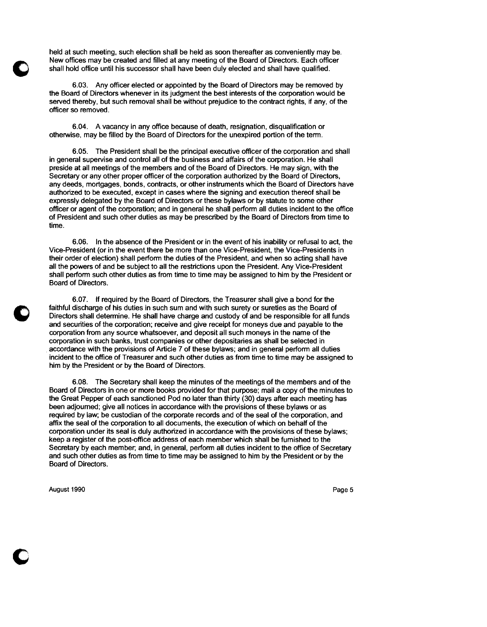held at such meeting, such election shall be held as soon thereafter as conveniently may be. New offices may be created and filled at any meeting of the Board of Directors. Each officer shall hold office until his successor shall have been duly elected and shall have qualified.

6.03. Any officer elected or appointed by the Board of Directors may be removed by the Board of Directors whenever in its judgment the best interests of the corporation would be served thereby, but such removal shall be without prejudice to the contract rights, if any, of the officer so removed.

6.04. A vacancy in any office because of death, resignation, disqualification or otherwise, may be filled by the Board of Directors for the unexpired portion of the term.

6.05. The President shall be the principal executive officer of the corporation and shall in general supervise and control all of the business and affairs of the corporation. He shall preside at all meetings of the members and of the Board of Directors. He may sign, with the Secretary or any other proper officer of the corporation authorized by the Board of Directors, any deeds, mortgages, bonds, contracts, or other instruments which the Board of Directors have authorized to be executed, except in cases where the signing and execution thereof shall be expressly delegated by the Board of Directors or these bylaws or by statute to some other officer or agent of the corporation; and in general he shall perform all duties incident to the office of President and such other duties as may be prescribed by the Board of Directors from time to time.

6.06. In the absence of the President or in the event of his inability or refusal to act, the Vice-President (or in the event there be more than one Vice-President, the Vice-Presidents in their order of election) shall perform the duties of the President, and when so acting shall have all the powers of and be subject to all the restrictions upon the President. Any Vice-President shall perform such other duties as from time to time may be assigned to him by the President or Board of Directors.

6.07. If required by the Board of Directors, the Treasurer shall give a bond for the faithful discharge of his duties in such sum and with such surety or sureties as the Board of Directors shall determine. He shall have charge and custody of and be responsible for all funds and securities of the corporation; receive and give receipt for moneys due and payable to the corporation from any source whatsoever, and deposit all such moneys in the name of the corporation in such banks, trust companies or other depositaries as shall be selected in . accordance with the provisions of Article 7 of these bylaws; and in general perform all duties incident to the office of Treasurer and such other duties as from time to time may be assigned to him by the President or by the Board of Directors.

6.08. The Secretary shall keep the minutes of the meetings of the members and of the Board of Directors in one or more books provided for that purpose; mail a copy of the minutes to the Great Pepper of each sanctioned Pod no later than thirty (30) days after each meeting has been adjourned; give all notices in accordance with the provisions of these bylaws or as required by law; be custodian of the corporate records and of the seal of the corporation, and affix the seal of the corporation to all documents, the execution of which on behalf of the corporation under its seal is duly authorized in accordance with the provisions of these bylaws; keep a register of the post-office address of each member which shall be fumished to the Secretary by each member; and, in general, perform all duties incident to the office of Secretary and such other duties as from time to time may be assigned to him by the President or by the Board of Directors.

August 1990 Page 5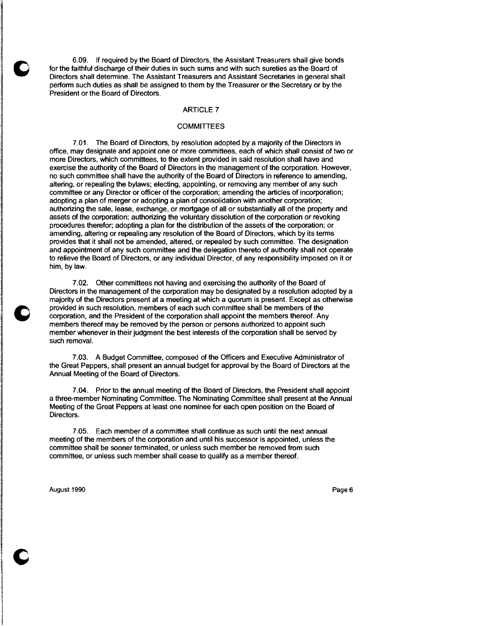6.09. If required by the Board of Directors, the Assistant Treasurers shall give bonds for the faithful discharge of their duties in such sums and with such sureties as the Board of Directors shall determine. The Assistant Treasurers and Assistant Secretaries in general shall perform such duties as shall be assigned to them by the Treasurer or the Secretary or by the President or the Board of Directors.

#### **ARTICLE 7**

## **COMMITTEES**

7.01. The Board of Directors, by resolution adopted by a majority of the Directors in office, may designate and appoint one or more committees, each of which shall consist of two or more Directors, which committees, to the extent provided in said resolution shall have and exercise the authority of the Board of Directors in the management of the corporation. However, no such committee shall have the authority of the Board of Directors in reference to amending, altering, or repealing the bylaws; electing, appointing, or removing any member of any such committee or any Director or officer of the corporation; amending the articles of incorporation; adopting a plan of merger or adopting a plan of consolidation with another corporation; authorizing the sale, lease, exchange, or mortgage of all or substantially all of the property and assets of the corporation; authorizing the voluntary dissolution of the corporation or revoking procedures therefor; adopting a plan for the distribution of the assets of the corporation; or amending, altering or repealing any resolution of the Board of Directors, which by its terms provides that it shall not be amended, altered, or repealed by such committee. The designation and appointment of any such committee and the delegation thereto of authority shall not operate to relieve the Board of Directors, or any individual Director, of any responsibility imposed on it or him, bylaw.

7.02. Other committees not having and exercising the authority of the Board of Directors in the management of the corporation may be designated by a resolution adopted by a majority of the Directors present at a meeting at which a quorum is present. Except as otherwise provided in such resolution, members of each such committee shall be members of the corporation, and the President of the corporation shall appoint the members thereof. Any members thereof may be removed by the person or persons authorized to appoint such member whenever in their judgment the best interests of the corporation shall be served by such removal.

7.03. A Budget Committee, composed of the Officers and Executive Administrator of the Great Peppers, shall present an annual budget for approval by the Board of Directors at the Annual Meeting of the Board of Directors.

7.04. Prior to the annual meeting of the Board of Directors, the President shall appoint a three-member Nominating Committee. The Nominating Committee shall present at the Annual Meeting of the Great Peppers at least one nominee for each open position on the Board of Directors.

7.05. Each member of a committee shall continue as such until the next annual meeting of the members of the corporation and until his successor is appointed, unless the committee shall be sooner terminated, or unless such member be removed from such committee, or unless such member shall cease to qualify as a member thereof.

August 1990 **Page 6** 

**International** 

 $\overline{\phantom{a}}$  $\blacksquare$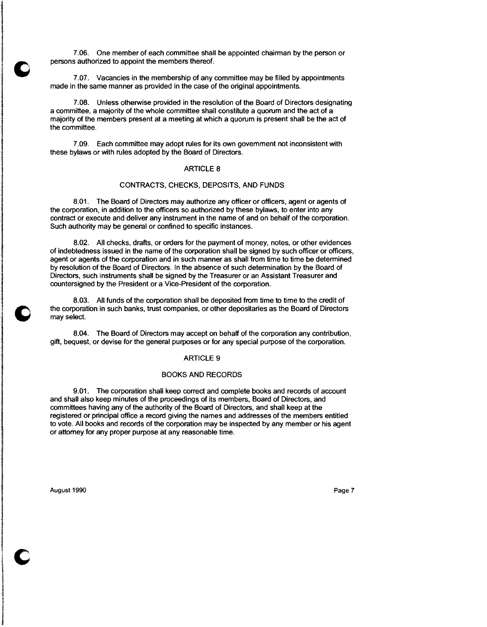7.06. One member of each committee shall be appointed chairman by the person or persons authorized to appoint the members thereof.

7.07. Vacancies in the membership of any committee may be filled by appointments made in the same manner as provided in the case of the original appointments.

7.08. Unless otherwise provided in the resolution of the Board of Directors designating a committee, a majority of the whole committee shall constitute a quorum and the act of a majority of the members present at a meeting at which a quorum is present shall be the act of the committee.

7.09. Each committee may adopt rules for its own government not inconsistent with these bylaws or with rules adopted by the Board of Directors.

## ARTICLE 8

# CONTRACTS, CHECKS, DEPOSITS, AND FUNDS

8.01. The Board of Directors may authorize any officer or officers, agent or agents of the corporation, in addition to the officers so authorized by these bylaws, to enter into any contract or execute and deliver any instrument in the name of and on behalf of the corporation. Such authority may be general or confined to specific instances.

8.02. All checks, drafts, or orders for the payment of money, notes, or other evidences of indebtedness issued in the name of the corporation shall be signed by such officer or officers, agent or agents of the corporation and in such manner as shall from time to time be determined by resolution of the Board of Directors. In the absence of such determination by the Board of Directors, such instruments shall be signed by the Treasurer or an Assistant Treasurer and countersigned by the President or a Vice-President of the corporation.

8.03. All funds of the corporation shall be deposited from time to time to the credit of the corporation in such banks, trust companies, or other depositaries as the Board of Directors may select.

8.04. The Board of Directors may accept on behalf of the corporation any contribution, gift, bequest, or devise for the general purposes or for any special purpose of the corporation.

#### **ARTICLE 9**

#### BOOKS AND RECORDS

9.01. The corporation shall keep correct and complete books and records of account and shall also keep minutes of the proceedings of its members, Board of Directors, and committees having any of the authority of the Board of Directors, and shall keep at the registered or principal office a record giving the names and addresses of the members entitled to vote. All books and records of the corporation may be inspected by any member or his agent or attorney for any proper purpose at any reasonable time.

August 1990 Page 7

\ 1

I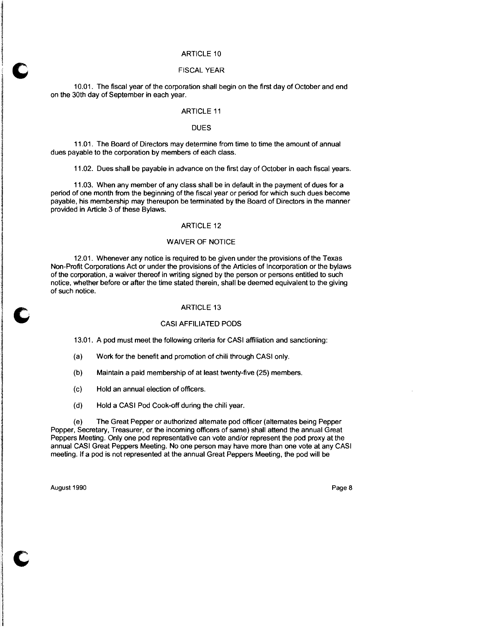## ARTICLE 10

#### FISCAL YEAR

10.01. The fiscal year of the corporation shall begin on the first day of October and end on the 30th day of September in each year.

# ARTICLE 11

## DUES

11.01. The Board of Directors may determine from time to time the amount of annual dues payable to the corporation by members of each class.

11.02. Dues shall be payable in advance on the first day of October in each fiscal years.

11.03. When any member of any class shall be in default in the payment of dues for a period of one month from the beginning of the fiscal year or period for which such dues become payable, his membership may thereupon be terminated by the Board of Directors in the manner provided in Article 3 of these Bylaws.

### ARTICLE 12

## WAIVER OF NOTICE

12.01. Whenever any notice is required to be given under the provisions of the Texas Non-Profit Corporations Act or under the provisions of the Articles of Incorporation or the bylaws of the corporation, a waiver thereof in writing signed by the person or persons entitled to such notice, whether before or after the time stated therein, shall be deemed equivalent to the giving of such notice.

#### ARTICLE 13

#### CASI AFFILIATED PODS

13.01. A pod must meet the following criteria for CASI affiliation and sanctioning:

- (a) Work for the benefit and promotion of chili through CASI only.
- (b) Maintain a paid membership of at least twenty-five (25) members.
- (c) Hold an annual election of officers.
- (d) Hold a CASI Pod Cook-off during the chili year.

(e) The Great Pepper or authorized altemate pod officer (alternates being Pepper Popper, Secretary, Treasurer, or the incoming officers of same) shall attend the annual Great Peppers Meeting. Only one pod representative can vote and/or represent the pod proxy at the annual CASI Great Peppers Meeting. No one person may have more than one vote at any CASI meeting. If a pod is not represented at the annual Great Peppers Meeting, the pod will be

August 1990 Page 8

linguage in de stadium de la stadium de la stadium de la stadium de la stadium de la stadium de la stadium de<br>La stadium